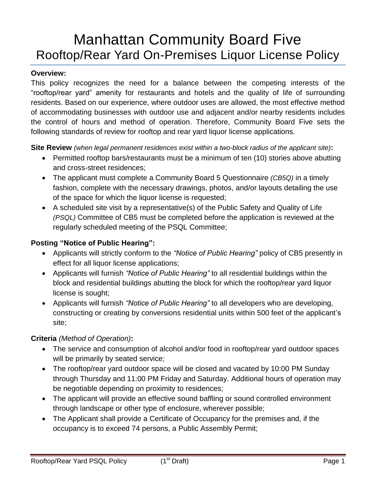# Manhattan Community Board Five Rooftop/Rear Yard On-Premises Liquor License Policy

#### **Overview:**

This policy recognizes the need for a balance between the competing interests of the "rooftop/rear yard" amenity for restaurants and hotels and the quality of life of surrounding residents. Based on our experience, where outdoor uses are allowed, the most effective method of accommodating businesses with outdoor use and adjacent and/or nearby residents includes the control of hours and method of operation. Therefore, Community Board Five sets the following standards of review for rooftop and rear yard liquor license applications.

**Site Review** *(when legal permanent residences exist within a two-block radius of the applicant site)***:**

- Permitted rooftop bars/restaurants must be a minimum of ten (10) stories above abutting and cross-street residences;
- The applicant must complete a Community Board 5 Questionnaire *(CB5Q)* in a timely fashion, complete with the necessary drawings, photos, and/or layouts detailing the use of the space for which the liquor license is requested;
- A scheduled site visit by a representative(s) of the Public Safety and Quality of Life *(PSQL)* Committee of CB5 must be completed before the application is reviewed at the regularly scheduled meeting of the PSQL Committee;

### **Posting "Notice of Public Hearing":**

- Applicants will strictly conform to the *"Notice of Public Hearing"* policy of CB5 presently in effect for all liquor license applications;
- Applicants will furnish *"Notice of Public Hearing"* to all residential buildings within the block and residential buildings abutting the block for which the rooftop/rear yard liquor license is sought;
- Applicants will furnish *"Notice of Public Hearing"* to all developers who are developing, constructing or creating by conversions residential units within 500 feet of the applicant's site;

### **Criteria** *(Method of Operation)***:**

- The service and consumption of alcohol and/or food in rooftop/rear yard outdoor spaces will be primarily by seated service;
- The rooftop/rear yard outdoor space will be closed and vacated by 10:00 PM Sunday through Thursday and 11:00 PM Friday and Saturday. Additional hours of operation may be negotiable depending on proximity to residences;
- The applicant will provide an effective sound baffling or sound controlled environment through landscape or other type of enclosure, wherever possible;
- The Applicant shall provide a Certificate of Occupancy for the premises and, if the occupancy is to exceed 74 persons, a Public Assembly Permit;